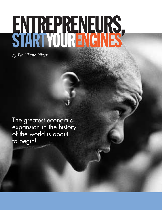# ENTREPRENEURS,

*by Paul Zane Pilzer*

The greatest economic expansion in the history of the world is about to begin!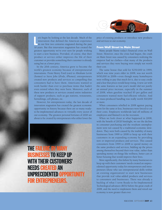



et's begin by looking at the last decade. Much of the innovation that defined the American experience in our first two centuries stagnated during the past 10 years. But this innovation stagnation has created the et's begin by looking at the last decade. Much of the innovation that defined the American experience in our first two centuries stagnated during the past greatest opportunity we've ever seen for people wishing to start a new business. Provided, of course, that their product or service either improves the life of their customer or provides something their customer is already using but at a lower price.

In the 20th century, America grew to become the world's greatest economy because of entrepreneurial innovations. From Henry Ford (cars) to Abraham Levitt (homes) to Steve Jobs (iPods, iPhones), entrepreneurs created new products and services so compelling that consumers *had* to have them. Americans wanted to work harder than ever to purchase items that hadn't even existed when they were born. Moreover, each of these new products or services created entire industries of support products, such as gas stations, restaurants, furnishings, cell phones, etc.

However, for entrepreneurs today, the last decade of innovation stagnation has created the greatest economic opportunity in history because there are so many readyto-be-implemented advances in virtually every sector of our economy. The greatest personal fortunes of 2020 are about to be created by entrepreneurs who either lower the

The failure by many businesses to keep up with their customers' needs created an unprecedented opportunity for entrepreneurs.

price of existing products or introduce new products and services to our economy.

# **From Wall Street to Main Street**

Many people blame today's financial crisis on Wall Street. However, once the crisis had begun, the crash on Main Street was caused by consumers realizing the emperor had no clothes—that many of the products and services they were buying were simply not worth their cost.

The same house that sold for \$250,000 in 1999, which was nine years older in 2008, was not worth \$450,000 in 2008—even though many homebuyers were willing to pay that much for it, due to easy credit and a fear that prices would keep rising. A new car with the same features as last year's model did not justify an annual price increase, especially in the summer of 2008, when gasoline reached \$5 per gallon and consumers wanted more fuel-efficient vehicles. And no mass-produced handbag was really worth \$10,000 or more.

When consumers rebelled in 2008 against paying more for the same or less, businesses were forced to cut their costs. Employers worldwide laid off millions of employees and blamed it on the recession.

When we look closer at what happened in 2008, with the benefit of 20/20 hindsight, we see the decline in consumer purchasing and the resultant unemployment were not caused by a traditional economic slowdown. They were both caused by the inability of many businesses from 1999 to 2008 to keep up with their customers in an expanding economy by providing new or improved products and services. This caused consumers from 1999 to 2008 to spend money on the same products and services, bidding up the prices among themselves beyond their true value, rather than spending money on things like wellness, better cars or better housing that would improve their lives.

More significantly, this failure by many businesses to keep up with their customers' needs created an unprecedented opportunity today for entrepreneurs and intrapreneurs (those who use entrepreneurial skills within an existing organization) to start new businesses that provide real value-added products and services to consumers and businesses. There was already a backlog of what I term Ready-to-be-Implemented Technological advances (RITs) before the great crash of 2008, and the need to implement them and retool our economy is now greater than ever.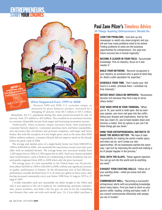# **ENTREPRENEURS<br>START YOUR ENGINES**

READ<br>why Pilzer says fixing problems can make you a fortune

success.com

# **What Happened from 1999 to 2008**

Between 1999 and 2008, U.S. economic output, as measured by gross domestic product, increased by a whopping 65 percent, from \$8.7 trillion to \$14.3 trillion.

Meanwhile, the U.S. population during this same period increased by only 10 percent, from 273 million to 303 million. This resulted in an enormous increase in consumer disposable income from wages and increasing investment income.

Traditionally, when economic output increases faster than population, consumer lifestyle improves. Consumers purchase more and better automobiles, new electronics like cell phones and personal computers, and larger and better homes. But with the exception of a few bright spots, such as the more than \$500 billion wellness industry, consumer lifestyle did not improve much in the decade before the great crash of 2008.

The average and median price of a single-family home rose from \$180,000 in 1999 to \$300,000 in 2008—for essentially the same house except it was nine years older with an outdated kitchen. The average home size increased steadily from 1,200 square feet in 1960 to 2,300 square feet in 2001. Each year, houses included more useful features, such as built-in air conditioning or better insulation, but size and quality stagnated from 2001 to 2008 when only the price increased.

The average price of a new automobile in the United States rose 40 percent, from about \$20,000 in 1999 to \$28,000 in 2008, without any significant increase in quality, performance or features. In the all-important area of fuel efficiency, performance actually declined from 17 to 16 miles per gallon in these years, after having increased consistently every year before 1998 from 12 mpg in 1975 to 17 mpg in 1997.

I vividly remember each new automobile my father bought in the 1960s and why it was superior to the car it replaced. Air conditioning, automatic transmission, power windows, seat belts—the list goes on and on for the compelling new features that came out with each model year. Or, if you didn't purchase a

# Paul Zane Pilzer's Timeless Advice

10 Things Aspiring Entrepreneurs Should Do

- LOOK FOR PROBLEMS. "Just pick up any newspaper or watch any news program and you will see how many problems need to be solved. Finding problems to solve are the business opportunities for entrepreneurs. Our past and future success lies in human ingenuity."
- BECOME A LEADER IN YOUR FIELD. "Accumulate knowledge. Pick an industry, focus on it and master it."
- 78 BUILD YOUR NETWORK. "Become recognized in your industry as someone who is good at what they do. Build a solid reputation for expertise."
- SCHEDULE YOUR TIME. "Don't waste your 168 hours in a week, schedule them. I schedule my time intensely."
- NOTICE WHAT COULD BE IMPROVED. "Businesses become rich because they find a way to serve others better."
- Stay wide open in your thinking. "When you're 18, your world is wide open. But as each year passes, one more nail goes into the coffin, killing your dreams and inspirations. And by the time you reach 25, you've been beaten down and become a realist. And my advice is you can't let these things get you down."
- Hone your entrepreneurial instincts to **MAKE THE WORLD BETTER.** "We have to take responsibility for making the world a better place, and when we do, we'll create our own opportunities. All my businesses started the same way: I got rich by improving the world and making a lot of people happier in the process."
- DEAL WITH THE SLAPS. "Rebel against rejection. You can go out into the world and do anything you want."
- **EXHAUST YOUR EXISTING SKILLS. "Utilize all of** your existing skills—what you know and who you know."
- Communicate well. "Becoming a successful entrepreneur starts with accumulating knowledge about many topics. First you have to work on your generic skills: reading, writing and basic math. If you cannot communicate effectively with people, you are in trouble."